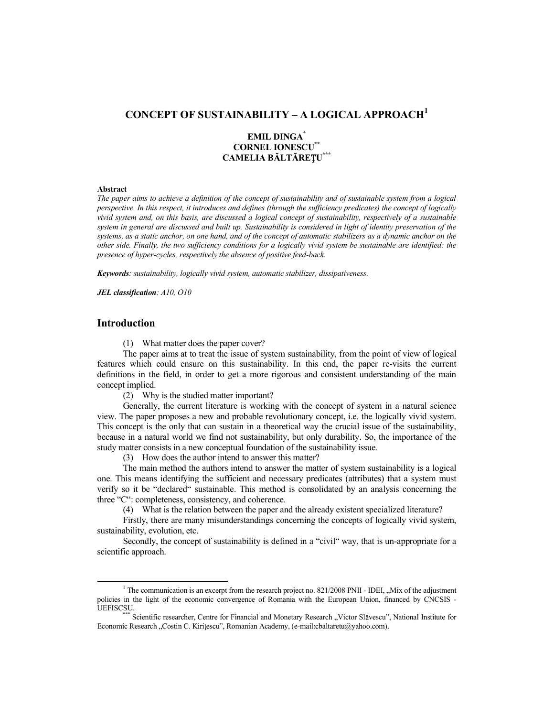# **CONCEPT OF SUSTAINABILITY – A LOGICAL APPROACH<sup>1</sup>**

# **EMIL DINGA\* CORNEL IONESCU\*\* CAMELIA B LT RE U \*\*\***

#### **Abstract**

*The paper aims to achieve a definition of the concept of sustainability and of sustainable system from a logical perspective. In this respect, it introduces and defines (through the sufficiency predicates) the concept of logically vivid system and, on this basis, are discussed a logical concept of sustainability, respectively of a sustainable system in general are discussed and built up. Sustainability is considered in light of identity preservation of the systems, as a static anchor, on one hand, and of the concept of automatic stabilizers as a dynamic anchor on the other side. Finally, the two sufficiency conditions for a logically vivid system be sustainable are identified: the presence of hyper-cycles, respectively the absence of positive feed-back.* 

*Keywords: sustainability, logically vivid system, automatic stabilizer, dissipativeness.* 

*JEL classification: A10, O10* 

# **Introduction**

(1) What matter does the paper cover?

The paper aims at to treat the issue of system sustainability, from the point of view of logical features which could ensure on this sustainability. In this end, the paper re-visits the current definitions in the field, in order to get a more rigorous and consistent understanding of the main concept implied.

(2) Why is the studied matter important?

Generally, the current literature is working with the concept of system in a natural science view. The paper proposes a new and probable revolutionary concept, i.e. the logically vivid system. This concept is the only that can sustain in a theoretical way the crucial issue of the sustainability, because in a natural world we find not sustainability, but only durability. So, the importance of the study matter consists in a new conceptual foundation of the sustainability issue.

(3) How does the author intend to answer this matter?

The main method the authors intend to answer the matter of system sustainability is a logical one. This means identifying the sufficient and necessary predicates (attributes) that a system must verify so it be "declared" sustainable. This method is consolidated by an analysis concerning the three "C": completeness, consistency, and coherence.

(4) What is the relation between the paper and the already existent specialized literature?

Firstly, there are many misunderstandings concerning the concepts of logically vivid system, sustainability, evolution, etc.

Secondly, the concept of sustainability is defined in a "civil" way, that is un-appropriate for a scientific approach.

<sup>&</sup>lt;sup>1</sup> The communication is an excerpt from the research project no. 821/2008 PNII - IDEI, "Mix of the adjustment policies in the light of the economic convergence of Romania with the European Union, financed by CNCSIS - UEFISCSU.<br>\*\*\*\* Scientific researcher, Centre for Financial and Monetary Research "Victor Slăvescu", National Institute for

Economic Research "Costin C. Kiritescu", Romanian Academy, (e-mail:cbaltaretu@yahoo.com).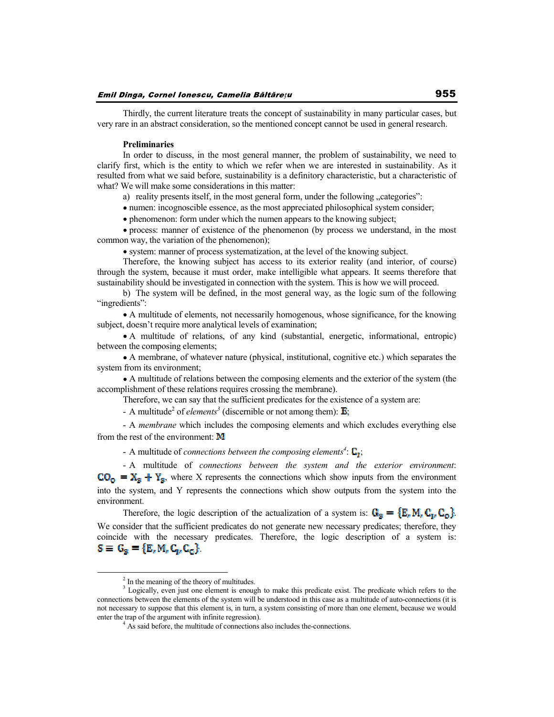Thirdly, the current literature treats the concept of sustainability in many particular cases, but very rare in an abstract consideration, so the mentioned concept cannot be used in general research.

### **Preliminaries**

In order to discuss, in the most general manner, the problem of sustainability, we need to clarify first, which is the entity to which we refer when we are interested in sustainability. As it resulted from what we said before, sustainability is a definitory characteristic, but a characteristic of what? We will make some considerations in this matter:

a) reality presents itself, in the most general form, under the following "categories":

numen: incognoscible essence, as the most appreciated philosophical system consider;

phenomenon: form under which the numen appears to the knowing subject;

process: manner of existence of the phenomenon (by process we understand, in the most common way, the variation of the phenomenon);

system: manner of process systematization, at the level of the knowing subject.

Therefore, the knowing subject has access to its exterior reality (and interior, of course) through the system, because it must order, make intelligible what appears. It seems therefore that sustainability should be investigated in connection with the system. This is how we will proceed.

b) The system will be defined, in the most general way, as the logic sum of the following "ingredients":

A multitude of elements, not necessarily homogenous, whose significance, for the knowing subject, doesn't require more analytical levels of examination;

A multitude of relations, of any kind (substantial, energetic, informational, entropic) between the composing elements;

A membrane, of whatever nature (physical, institutional, cognitive etc.) which separates the system from its environment;

A multitude of relations between the composing elements and the exterior of the system (the accomplishment of these relations requires crossing the membrane).

Therefore, we can say that the sufficient predicates for the existence of a system are:

- A multitude<sup>2</sup> of *elements*<sup>3</sup> (discernible or not among them):  $\mathbf{E}$ ;

- A *membrane* which includes the composing elements and which excludes everything else from the rest of the environment:  $\bf{M}$ 

- A multitude of *connections between the composing elements*<sup>4</sup>:  $\mathbf{C}_{\mathbf{I}}$ ;

- A multitude of *connections between the system and the exterior environment*:  $CO_0 = X_3 + Y_3$ , where X represents the connections which show inputs from the environment into the system, and Y represents the connections which show outputs from the system into the environment.

Therefore, the logic description of the actualization of a system is:  $G_g = {E_r M_r C_u C_o}$ . We consider that the sufficient predicates do not generate new necessary predicates; therefore, they coincide with the necessary predicates. Therefore, the logic description of a system is:  $S \equiv G_g = {E, M, C_g, C_g}.$ 

<sup>&</sup>lt;sup>2</sup> In the meaning of the theory of multitudes.

<sup>&</sup>lt;sup>3</sup> Logically, even just one element is enough to make this predicate exist. The predicate which refers to the connections between the elements of the system will be understood in this case as a multitude of auto-connections (it is not necessary to suppose that this element is, in turn, a system consisting of more than one element, because we would enter the trap of the argument with infinite regression).

<sup>&</sup>lt;sup>4</sup> As said before, the multitude of connections also includes the-connections.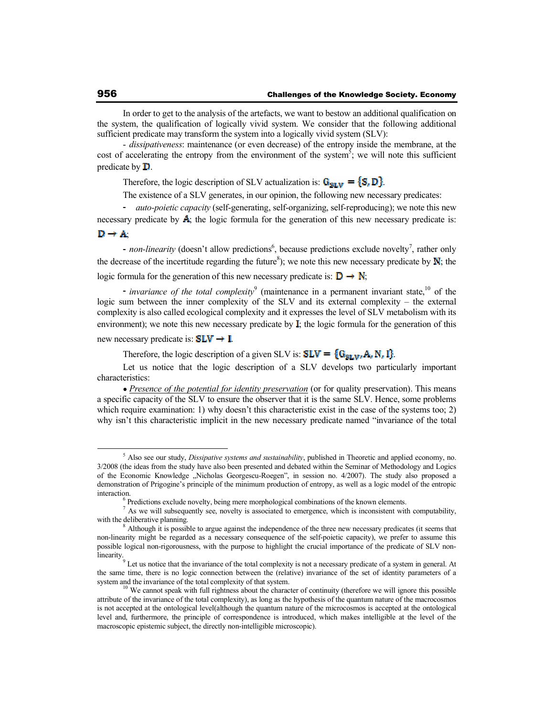In order to get to the analysis of the artefacts, we want to bestow an additional qualification on the system, the qualification of logically vivid system. We consider that the following additional sufficient predicate may transform the system into a logically vivid system (SLV):

- *dissipativeness*: maintenance (or even decrease) of the entropy inside the membrane, at the cost of accelerating the entropy from the environment of the system<sup>5</sup>; we will note this sufficient predicate by  $\mathbf{D}$ .

Therefore, the logic description of SLV actualization is:  $G_{SUS} = \{S, D\}$ .

The existence of a SLV generates, in our opinion, the following new necessary predicates:

- *auto-poietic capacity* (self-generating, self-organizing, self-reproducing); we note this new necessary predicate by  $\mathbf{A}$ ; the logic formula for the generation of this new necessary predicate is:  $\mathbf{D} \rightarrow \mathbf{A}$ 

- *non-linearity* (doesn't allow predictions<sup>6</sup>, because predictions exclude novelty<sup>7</sup>, rather only the decrease of the incertitude regarding the future<sup>8</sup>); we note this new necessary predicate by  $N$ ; the logic formula for the generation of this new necessary predicate is:  $\mathbf{D} \rightarrow \mathbf{N}$ ;

*invariance of the total complexity*<sup>9</sup> (maintenance in a permanent invariant state,<sup>10</sup> of the logic sum between the inner complexity of the SLV and its external complexity – the external complexity is also called ecological complexity and it expresses the level of SLV metabolism with its environment); we note this new necessary predicate by  $\mathbf{I}$ ; the logic formula for the generation of this

new necessary predicate is:  $SLV \rightarrow I$ .

Therefore, the logic description of a given SLV is:  $SLV = \{G_{SLV}, A, N, I\}$ .

Let us notice that the logic description of a SLV develops two particularly important characteristics:

*Presence of the potential for identity preservation* (or for quality preservation). This means a specific capacity of the SLV to ensure the observer that it is the same SLV. Hence, some problems which require examination: 1) why doesn't this characteristic exist in the case of the systems too; 2) why isn't this characteristic implicit in the new necessary predicate named "invariance of the total

<sup>5</sup> Also see our study, *Dissipative systems and sustainability*, published in Theoretic and applied economy, no. 3/2008 (the ideas from the study have also been presented and debated within the Seminar of Methodology and Logics of the Economic Knowledge "Nicholas Georgescu-Roegen", in session no. 4/2007). The study also proposed a demonstration of Prigogine's principle of the minimum production of entropy, as well as a logic model of the entropic interaction.

<sup>&</sup>lt;sup>6</sup> Predictions exclude novelty, being mere morphological combinations of the known elements.

 $<sup>7</sup>$  As we will subsequently see, novelty is associated to emergence, which is inconsistent with computability,</sup> with the deliberative planning.

<sup>&</sup>lt;sup>8</sup> Although it is possible to argue against the independence of the three new necessary predicates (it seems that non-linearity might be regarded as a necessary consequence of the self-poietic capacity), we prefer to assume this possible logical non-rigorousness, with the purpose to highlight the crucial importance of the predicate of SLV nonlinearity.

<sup>9</sup> Let us notice that the invariance of the total complexity is not a necessary predicate of a system in general. At the same time, there is no logic connection between the (relative) invariance of the set of identity parameters of a system and the invariance of the total complexity of that system.<br><sup>10</sup> We cannot speak with full rightness about the character of continuity (therefore we will ignore this possible

attribute of the invariance of the total complexity), as long as the hypothesis of the quantum nature of the macrocosmos is not accepted at the ontological level(although the quantum nature of the microcosmos is accepted at the ontological level and, furthermore, the principle of correspondence is introduced, which makes intelligible at the level of the macroscopic epistemic subject, the directly non-intelligible microscopic).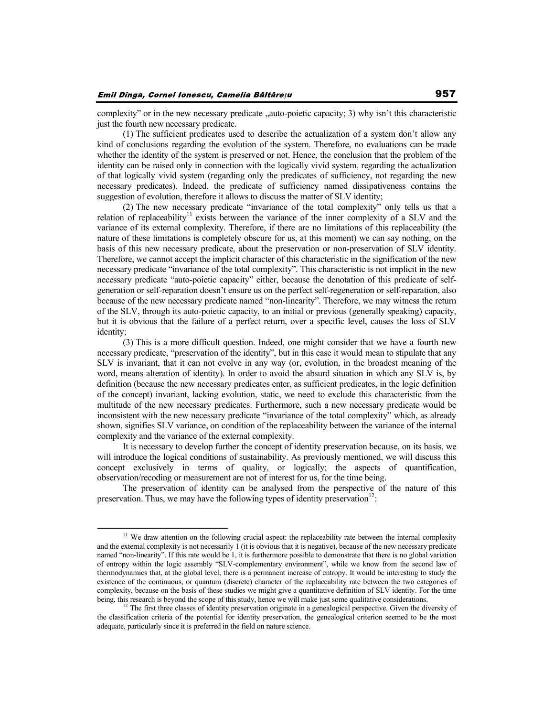complexity" or in the new necessary predicate "auto-poietic capacity; 3) why isn't this characteristic just the fourth new necessary predicate.

(1) The sufficient predicates used to describe the actualization of a system don't allow any kind of conclusions regarding the evolution of the system. Therefore, no evaluations can be made whether the identity of the system is preserved or not. Hence, the conclusion that the problem of the identity can be raised only in connection with the logically vivid system, regarding the actualization of that logically vivid system (regarding only the predicates of sufficiency, not regarding the new necessary predicates). Indeed, the predicate of sufficiency named dissipativeness contains the suggestion of evolution, therefore it allows to discuss the matter of SLV identity;

(2) The new necessary predicate "invariance of the total complexity" only tells us that a relation of replaceability<sup>11</sup> exists between the variance of the inner complexity of a SLV and the variance of its external complexity. Therefore, if there are no limitations of this replaceability (the nature of these limitations is completely obscure for us, at this moment) we can say nothing, on the basis of this new necessary predicate, about the preservation or non-preservation of SLV identity. Therefore, we cannot accept the implicit character of this characteristic in the signification of the new necessary predicate "invariance of the total complexity". This characteristic is not implicit in the new necessary predicate "auto-poietic capacity" either, because the denotation of this predicate of selfgeneration or self-reparation doesn't ensure us on the perfect self-regeneration or self-reparation, also because of the new necessary predicate named "non-linearity". Therefore, we may witness the return of the SLV, through its auto-poietic capacity, to an initial or previous (generally speaking) capacity, but it is obvious that the failure of a perfect return, over a specific level, causes the loss of SLV identity;

(3) This is a more difficult question. Indeed, one might consider that we have a fourth new necessary predicate, "preservation of the identity", but in this case it would mean to stipulate that any SLV is invariant, that it can not evolve in any way (or, evolution, in the broadest meaning of the word, means alteration of identity). In order to avoid the absurd situation in which any SLV is, by definition (because the new necessary predicates enter, as sufficient predicates, in the logic definition of the concept) invariant, lacking evolution, static, we need to exclude this characteristic from the multitude of the new necessary predicates. Furthermore, such a new necessary predicate would be inconsistent with the new necessary predicate "invariance of the total complexity" which, as already shown, signifies SLV variance, on condition of the replaceability between the variance of the internal complexity and the variance of the external complexity.

It is necessary to develop further the concept of identity preservation because, on its basis, we will introduce the logical conditions of sustainability. As previously mentioned, we will discuss this concept exclusively in terms of quality, or logically; the aspects of quantification, observation/recoding or measurement are not of interest for us, for the time being.

The preservation of identity can be analysed from the perspective of the nature of this preservation. Thus, we may have the following types of identity preservation<sup>12</sup>:

<sup>&</sup>lt;sup>11</sup> We draw attention on the following crucial aspect: the replaceability rate between the internal complexity and the external complexity is not necessarily 1 (it is obvious that it is negative), because of the new necessary predicate named "non-linearity". If this rate would be 1, it is furthermore possible to demonstrate that there is no global variation of entropy within the logic assembly "SLV-complementary environment", while we know from the second law of thermodynamics that, at the global level, there is a permanent increase of entropy. It would be interesting to study the existence of the continuous, or quantum (discrete) character of the replaceability rate between the two categories of complexity, because on the basis of these studies we might give a quantitative definition of SLV identity. For the time being, this research is beyond the scope of this study, hence we will make just some qualitative considerations.

The first three classes of identity preservation originate in a genealogical perspective. Given the diversity of the classification criteria of the potential for identity preservation, the genealogical criterion seemed to be the most adequate, particularly since it is preferred in the field on nature science.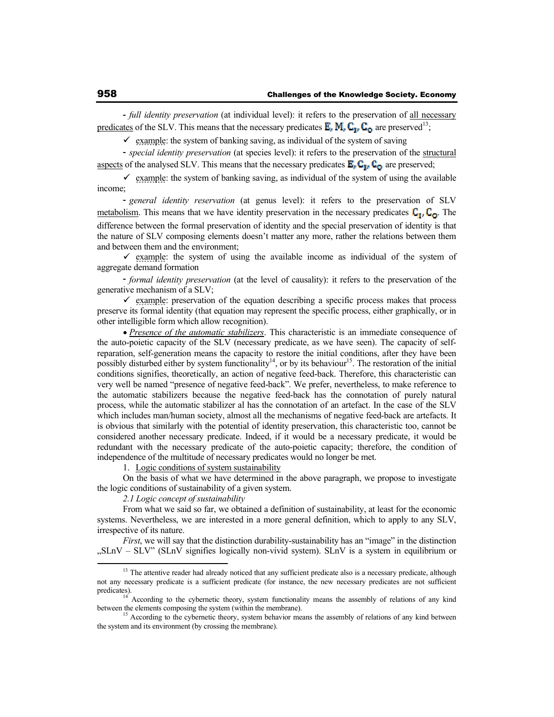- *full identity preservation* (at individual level): it refers to the preservation of all necessary predicates of the SLV. This means that the necessary predicates  $\mathbf{E}_n \mathbf{M}_n \mathbf{C}_{1n} \mathbf{C}_0$  are preserved<sup>13</sup>;

 $\checkmark$  example: the system of banking saving, as individual of the system of saving

- *special identity preservation* (at species level): it refers to the preservation of the structural aspects of the analysed SLV. This means that the necessary predicates  $\mathbf{E}_r \mathbf{C}_{\mathbf{I}r} \mathbf{C}_{\mathbf{O}}$  are preserved;

 $\checkmark$  example: the system of banking saving, as individual of the system of using the available income;

- *general identity reservation* (at genus level): it refers to the preservation of SLV metabolism. This means that we have identity preservation in the necessary predicates  $C_{\mathbb{I}}, C_{\mathbb{O}}$ . The difference between the formal preservation of identity and the special preservation of identity is that the nature of SLV composing elements doesn't matter any more, rather the relations between them and between them and the environment;

 $\checkmark$  example: the system of using the available income as individual of the system of aggregate demand formation

- *formal identity preservation* (at the level of causality): it refers to the preservation of the generative mechanism of a SLV;

 $\checkmark$  example: preservation of the equation describing a specific process makes that process preserve its formal identity (that equation may represent the specific process, either graphically, or in other intelligible form which allow recognition).

*Presence of the automatic stabilizers*. This characteristic is an immediate consequence of the auto-poietic capacity of the SLV (necessary predicate, as we have seen). The capacity of selfreparation, self-generation means the capacity to restore the initial conditions, after they have been possibly disturbed either by system functionality<sup>14</sup>, or by its behaviour<sup>15</sup>. The restoration of the initial conditions signifies, theoretically, an action of negative feed-back. Therefore, this characteristic can very well be named "presence of negative feed-back". We prefer, nevertheless, to make reference to the automatic stabilizers because the negative feed-back has the connotation of purely natural process, while the automatic stabilizer al has the connotation of an artefact. In the case of the SLV which includes man/human society, almost all the mechanisms of negative feed-back are artefacts. It is obvious that similarly with the potential of identity preservation, this characteristic too, cannot be considered another necessary predicate. Indeed, if it would be a necessary predicate, it would be redundant with the necessary predicate of the auto-poietic capacity; therefore, the condition of independence of the multitude of necessary predicates would no longer be met.

1. Logic conditions of system sustainability

On the basis of what we have determined in the above paragraph, we propose to investigate the logic conditions of sustainability of a given system.

*2.1 Logic concept of sustainability* 

From what we said so far, we obtained a definition of sustainability, at least for the economic systems. Nevertheless, we are interested in a more general definition, which to apply to any SLV, irrespective of its nature.

*First*, we will say that the distinction durability-sustainability has an "image" in the distinction "SLnV – SLV" (SLnV signifies logically non-vivid system). SLnV is a system in equilibrium or

<sup>&</sup>lt;sup>13</sup> The attentive reader had already noticed that any sufficient predicate also is a necessary predicate, although not any necessary predicate is a sufficient predicate (for instance, the new necessary predicates are not sufficient predicates).

<sup>&</sup>lt;sup>14</sup> According to the cybernetic theory, system functionality means the assembly of relations of any kind between the elements composing the system (within the membrane).<br><sup>15</sup> According to the cybernetic theory, system behavior means the assembly of relations of any kind between

the system and its environment (by crossing the membrane).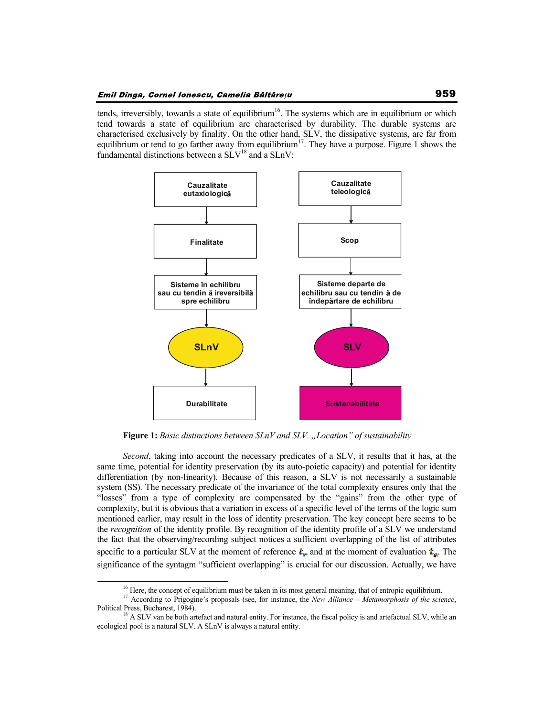tends, irreversibly, towards a state of equilibrium<sup>16</sup>. The systems which are in equilibrium or which tend towards a state of equilibrium are characterised by durability. The durable systems are characterised exclusively by finality. On the other hand, SLV, the dissipative systems, are far from equilibrium or tend to go farther away from equilibrium<sup>17</sup>. They have a purpose. Figure 1 shows the fundamental distinctions between a  $SLV<sup>18</sup>$  and a  $SLnV$ :



**Figure 1:** *Basic distinctions between SLnV and SLV. "Location" of sustainability* 

*Second*, taking into account the necessary predicates of a SLV, it results that it has, at the same time, potential for identity preservation (by its auto-poietic capacity) and potential for identity differentiation (by non-linearity). Because of this reason, a SLV is not necessarily a sustainable system (SS). The necessary predicate of the invariance of the total complexity ensures only that the "losses" from a type of complexity are compensated by the "gains" from the other type of complexity, but it is obvious that a variation in excess of a specific level of the terms of the logic sum mentioned earlier, may result in the loss of identity preservation. The key concept here seems to be the *recognition* of the identity profile. By recognition of the identity profile of a SLV we understand the fact that the observing/recording subject notices a sufficient overlapping of the list of attributes specific to a particular SLV at the moment of reference  $t_{\text{r}}$  and at the moment of evaluation  $t_{\text{r}}$ . The significance of the syntagm "sufficient overlapping" is crucial for our discussion. Actually, we have

 $16$  Here, the concept of equilibrium must be taken in its most general meaning, that of entropic equilibrium.

<sup>&</sup>lt;sup>17</sup> According to Prigogine's proposals (see, for instance, the *New Alliance – Metamorphosis of the science*, Political Press, Bucharest, 1984).<br><sup>18</sup> A SLV van be both artefact and natural entity. For instance, the fiscal policy is and artefactual SLV, while an

ecological pool is a natural SLV. A SLnV is always a natural entity.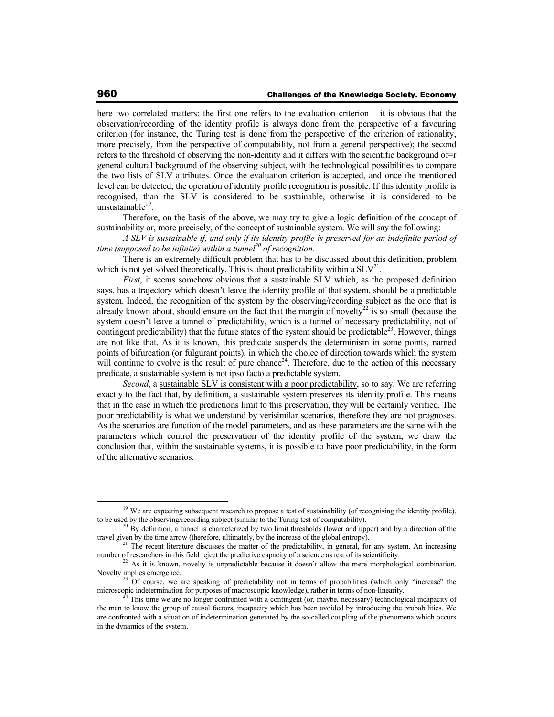here two correlated matters: the first one refers to the evaluation criterion – it is obvious that the observation/recording of the identity profile is always done from the perspective of a favouring criterion (for instance, the Turing test is done from the perspective of the criterion of rationality, more precisely, from the perspective of computability, not from a general perspective); the second refers to the threshold of observing the non-identity and it differs with the scientific background of=r general cultural background of the observing subject, with the technological possibilities to compare the two lists of SLV attributes. Once the evaluation criterion is accepted, and once the mentioned level can be detected, the operation of identity profile recognition is possible. If this identity profile is recognised, than the SLV is considered to be sustainable, otherwise it is considered to be unsustainable<sup>19</sup>.

Therefore, on the basis of the above, we may try to give a logic definition of the concept of sustainability or, more precisely, of the concept of sustainable system. We will say the following:

*A SLV is sustainable if, and only if its identity profile is preserved for an indefinite period of time (supposed to be infinite) within a tunnel<sup>20</sup> of recognition*.

There is an extremely difficult problem that has to be discussed about this definition, problem which is not yet solved theoretically. This is about predictability within a  $SLV<sup>21</sup>$ .

*First*, it seems somehow obvious that a sustainable SLV which, as the proposed definition says, has a trajectory which doesn't leave the identity profile of that system, should be a predictable system. Indeed, the recognition of the system by the observing/recording subject as the one that is already known about, should ensure on the fact that the margin of novelty<sup>22</sup> is so small (because the system doesn't leave a tunnel of predictability, which is a tunnel of necessary predictability, not of contingent predictability) that the future states of the system should be predictable<sup>23</sup>. However, things are not like that. As it is known, this predicate suspends the determinism in some points, named points of bifurcation (or fulgurant points), in which the choice of direction towards which the system will continue to evolve is the result of pure chance<sup>24</sup>. Therefore, due to the action of this necessary predicate, a sustainable system is not ipso facto a predictable system.

*Second*, a sustainable SLV is consistent with a poor predictability, so to say. We are referring exactly to the fact that, by definition, a sustainable system preserves its identity profile. This means that in the case in which the predictions limit to this preservation, they will be certainly verified. The poor predictability is what we understand by verisimilar scenarios, therefore they are not prognoses. As the scenarios are function of the model parameters, and as these parameters are the same with the parameters which control the preservation of the identity profile of the system, we draw the conclusion that, within the sustainable systems, it is possible to have poor predictability, in the form of the alternative scenarios.

<sup>&</sup>lt;sup>19</sup> We are expecting subsequent research to propose a test of sustainability (of recognising the identity profile), to be used by the observing/recording subject (similar to the Turing test of computability).

<sup>&</sup>lt;sup>20</sup> By definition, a tunnel is characterized by two limit thresholds (lower and upper) and by a direction of the travel given by the time arrow (therefore, ultimately, by the increase of the global entropy).

 $1$ . The recent literature discusses the matter of the predictability, in general, for any system. An increasing number of researchers in this field reject the predictive capacity of a science as test of its scientificity.

<sup>&</sup>lt;sup>2</sup> As it is known, novelty is unpredictable because it doesn't allow the mere morphological combination. Novelty implies emergence.

<sup>&</sup>lt;sup>23</sup> Of course, we are speaking of predictability not in terms of probabilities (which only "increase" the microscopic indetermination for purposes of macroscopic knowledge), rather in terms of non-linearity.

<sup>24</sup> This time we are no longer confronted with a contingent (or, maybe, necessary) technological incapacity of the man to know the group of causal factors, incapacity which has been avoided by introducing the probabilities. We are confronted with a situation of indetermination generated by the so-called coupling of the phenomena which occurs in the dynamics of the system.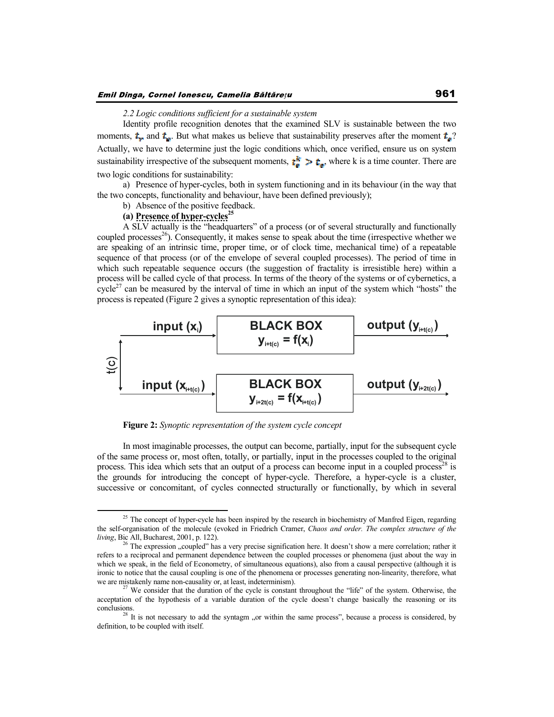## Emil Dinga, Cornel Ionescu, Camelia Băltărețu

#### *2.2 Logic conditions sufficient for a sustainable system*

Identity profile recognition denotes that the examined SLV is sustainable between the two moments,  $t_{\bullet}$  and  $t_{\bullet}$ . But what makes us believe that sustainability preserves after the moment  $t_{\bullet}$ ? Actually, we have to determine just the logic conditions which, once verified, ensure us on system sustainability irrespective of the subsequent moments,  $\mathbf{t}_{\mathbf{e}}^{\mathbf{k}} > \mathbf{t}_{\mathbf{e}}$ , where k is a time counter. There are two logic conditions for sustainability:

a) Presence of hyper-cycles, both in system functioning and in its behaviour (in the way that the two concepts, functionality and behaviour, have been defined previously);

## b) Absence of the positive feedback.

# **(a) Presence of hyper-cycles<sup>25</sup>**

A SLV actually is the "headquarters" of a process (or of several structurally and functionally coupled processes<sup>26</sup>). Consequently, it makes sense to speak about the time (irrespective whether we are speaking of an intrinsic time, proper time, or of clock time, mechanical time) of a repeatable sequence of that process (or of the envelope of several coupled processes). The period of time in which such repeatable sequence occurs (the suggestion of fractality is irresistible here) within a process will be called cycle of that process. In terms of the theory of the systems or of cybernetics, a cycle<sup>27</sup> can be measured by the interval of time in which an input of the system which "hosts" the process is repeated (Figure 2 gives a synoptic representation of this idea):



**Figure 2:** *Synoptic representation of the system cycle concept* 

In most imaginable processes, the output can become, partially, input for the subsequent cycle of the same process or, most often, totally, or partially, input in the processes coupled to the original process. This idea which sets that an output of a process can become input in a coupled process<sup>28</sup> is the grounds for introducing the concept of hyper-cycle. Therefore, a hyper-cycle is a cluster, successive or concomitant, of cycles connected structurally or functionally, by which in several

<sup>&</sup>lt;sup>25</sup> The concept of hyper-cycle has been inspired by the research in biochemistry of Manfred Eigen, regarding the self-organisation of the molecule (evoked in Friedrich Cramer, *Chaos and order. The complex structure of the living*, Bic All, Bucharest, 2001, p. 122).

<sup>&</sup>lt;sup>26</sup> The expression "coupled" has a very precise signification here. It doesn't show a mere correlation; rather it refers to a reciprocal and permanent dependence between the coupled processes or phenomena (just about the way in which we speak, in the field of Econometry, of simultaneous equations), also from a causal perspective (although it is ironic to notice that the causal coupling is one of the phenomena or processes generating non-linearity, therefore, what we are mistakenly name non-causality or, at least, indeterminism).

<sup>27</sup> We consider that the duration of the cycle is constant throughout the "life" of the system. Otherwise, the acceptation of the hypothesis of a variable duration of the cycle doesn't change basically the reasoning or its conclusions.<br><sup>28</sup> It is not necessary to add the syntagm "or within the same process", because a process is considered, by

definition, to be coupled with itself.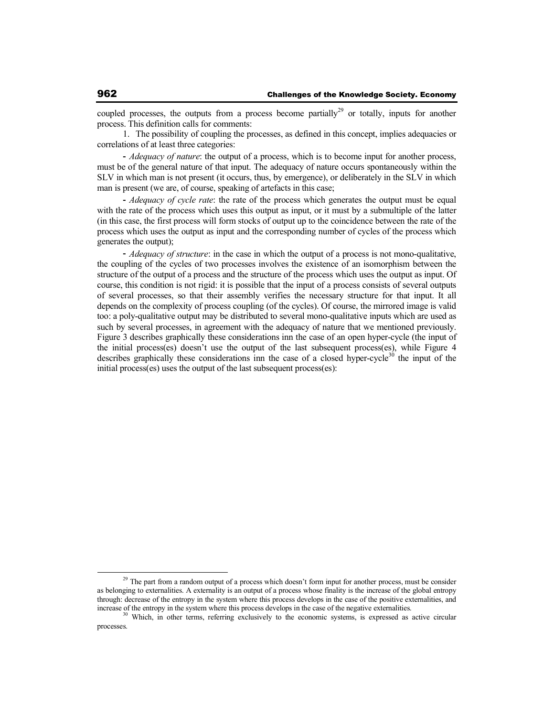coupled processes, the outputs from a process become partially<sup>29</sup> or totally, inputs for another process. This definition calls for comments:

1. The possibility of coupling the processes, as defined in this concept, implies adequacies or correlations of at least three categories:

- *Adequacy of nature*: the output of a process, which is to become input for another process, must be of the general nature of that input. The adequacy of nature occurs spontaneously within the SLV in which man is not present (it occurs, thus, by emergence), or deliberately in the SLV in which man is present (we are, of course, speaking of artefacts in this case;

- *Adequacy of cycle rate*: the rate of the process which generates the output must be equal with the rate of the process which uses this output as input, or it must by a submultiple of the latter (in this case, the first process will form stocks of output up to the coincidence between the rate of the process which uses the output as input and the corresponding number of cycles of the process which generates the output);

- *Adequacy of structure*: in the case in which the output of a process is not mono-qualitative, the coupling of the cycles of two processes involves the existence of an isomorphism between the structure of the output of a process and the structure of the process which uses the output as input. Of course, this condition is not rigid: it is possible that the input of a process consists of several outputs of several processes, so that their assembly verifies the necessary structure for that input. It all depends on the complexity of process coupling (of the cycles). Of course, the mirrored image is valid too: a poly-qualitative output may be distributed to several mono-qualitative inputs which are used as such by several processes, in agreement with the adequacy of nature that we mentioned previously. Figure 3 describes graphically these considerations inn the case of an open hyper-cycle (the input of the initial process(es) doesn't use the output of the last subsequent process(es), while Figure 4 describes graphically these considerations inn the case of a closed hyper-cycle<sup>30</sup> the input of the initial process(es) uses the output of the last subsequent process(es):

<sup>&</sup>lt;sup>29</sup> The part from a random output of a process which doesn't form input for another process, must be consider as belonging to externalities. A externality is an output of a process whose finality is the increase of the global entropy through: decrease of the entropy in the system where this process develops in the case of the positive externalities, and increase of the entropy in the system where this process develops in the case of the negative externalities.

Which, in other terms, referring exclusively to the economic systems, is expressed as active circular processes.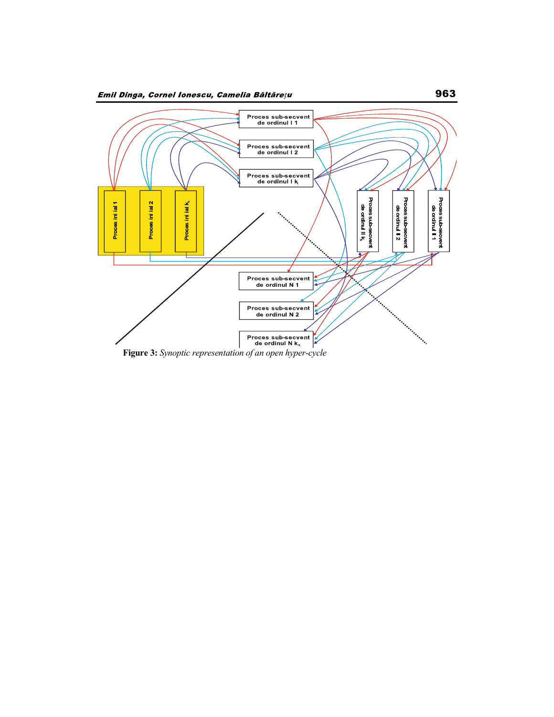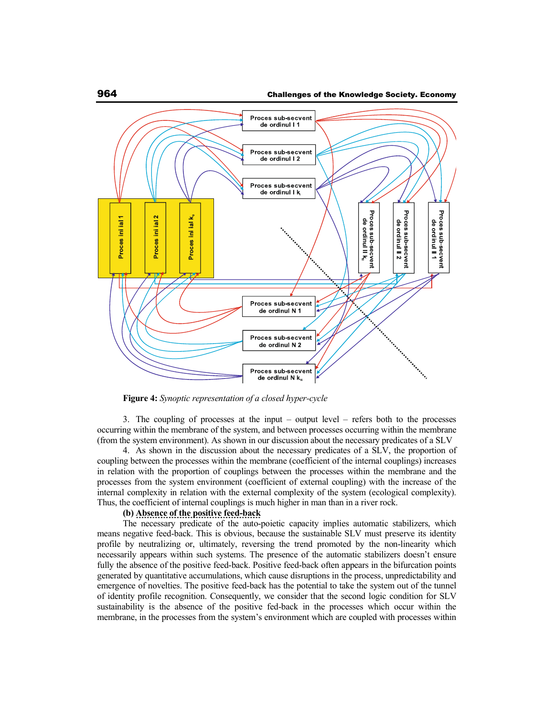

**Figure 4:** *Synoptic representation of a closed hyper-cycle* 

3. The coupling of processes at the input – output level – refers both to the processes occurring within the membrane of the system, and between processes occurring within the membrane (from the system environment). As shown in our discussion about the necessary predicates of a SLV

4. As shown in the discussion about the necessary predicates of a SLV, the proportion of coupling between the processes within the membrane (coefficient of the internal couplings) increases in relation with the proportion of couplings between the processes within the membrane and the processes from the system environment (coefficient of external coupling) with the increase of the internal complexity in relation with the external complexity of the system (ecological complexity). Thus, the coefficient of internal couplings is much higher in man than in a river rock.

### **(b) Absence of the positive feed-back**

The necessary predicate of the auto-poietic capacity implies automatic stabilizers, which means negative feed-back. This is obvious, because the sustainable SLV must preserve its identity profile by neutralizing or, ultimately, reversing the trend promoted by the non-linearity which necessarily appears within such systems. The presence of the automatic stabilizers doesn't ensure fully the absence of the positive feed-back. Positive feed-back often appears in the bifurcation points generated by quantitative accumulations, which cause disruptions in the process, unpredictability and emergence of novelties. The positive feed-back has the potential to take the system out of the tunnel of identity profile recognition. Consequently, we consider that the second logic condition for SLV sustainability is the absence of the positive fed-back in the processes which occur within the membrane, in the processes from the system's environment which are coupled with processes within